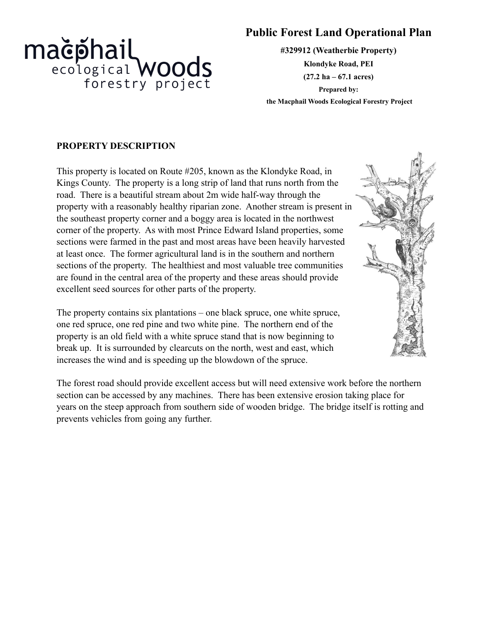

# **Public Forest Land Operational Plan**

**#329912 (Weatherbie Property) Klondyke Road, PEI (27.2 ha – 67.1 acres) Prepared by: the Macphail Woods Ecological Forestry Project**

# **PROPERTY DESCRIPTION**

This property is located on Route #205, known as the Klondyke Road, in Kings County. The property is a long strip of land that runs north from the road. There is a beautiful stream about 2m wide half-way through the property with a reasonably healthy riparian zone. Another stream is present in the southeast property corner and a boggy area is located in the northwest corner of the property. As with most Prince Edward Island properties, some sections were farmed in the past and most areas have been heavily harvested at least once. The former agricultural land is in the southern and northern sections of the property. The healthiest and most valuable tree communities are found in the central area of the property and these areas should provide excellent seed sources for other parts of the property.

The property contains six plantations – one black spruce, one white spruce, one red spruce, one red pine and two white pine. The northern end of the property is an old field with a white spruce stand that is now beginning to break up. It is surrounded by clearcuts on the north, west and east, which increases the wind and is speeding up the blowdown of the spruce.

The forest road should provide excellent access but will need extensive work before the northern section can be accessed by any machines. There has been extensive erosion taking place for years on the steep approach from southern side of wooden bridge. The bridge itself is rotting and prevents vehicles from going any further.

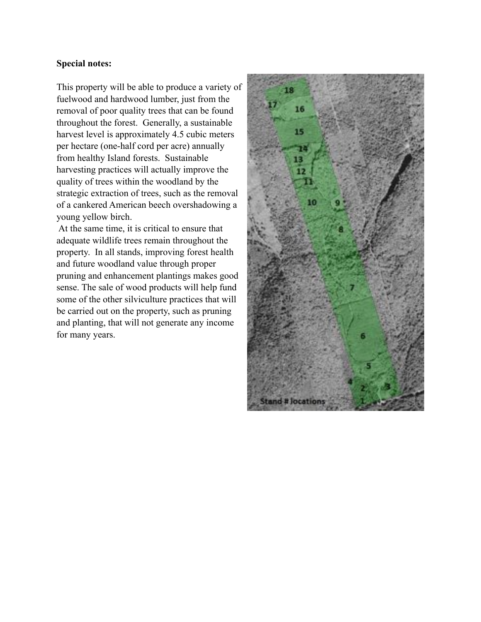#### **Special notes:**

This property will be able to produce a variety of fuelwood and hardwood lumber, just from the removal of poor quality trees that can be found throughout the forest. Generally, a sustainable harvest level is approximately 4.5 cubic meters per hectare (one-half cord per acre) annually from healthy Island forests. Sustainable harvesting practices will actually improve the quality of trees within the woodland by the strategic extraction of trees, such as the removal of a cankered American beech overshadowing a young yellow birch.

 At the same time, it is critical to ensure that adequate wildlife trees remain throughout the property. In all stands, improving forest health and future woodland value through proper pruning and enhancement plantings makes good sense. The sale of wood products will help fund some of the other silviculture practices that will be carried out on the property, such as pruning and planting, that will not generate any income for many years.

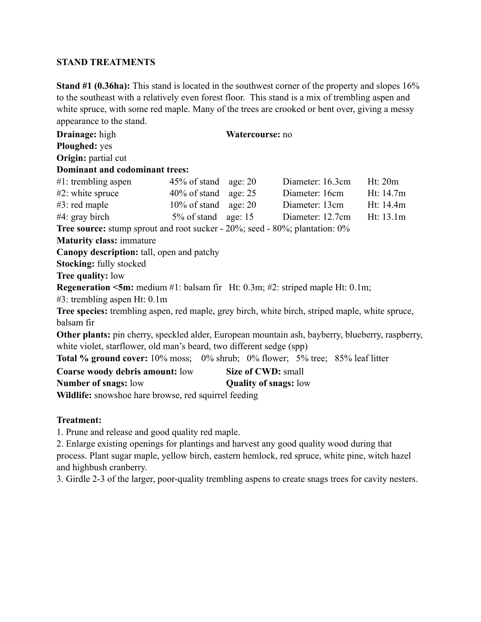# **STAND TREATMENTS**

**Stand #1 (0.36ha):** This stand is located in the southwest corner of the property and slopes 16% to the southeast with a relatively even forest floor. This stand is a mix of trembling aspen and white spruce, with some red maple. Many of the trees are crooked or bent over, giving a messy appearance to the stand.

| Drainage: high                                                                                   |                         | Watercourse: no              |                  |  |           |
|--------------------------------------------------------------------------------------------------|-------------------------|------------------------------|------------------|--|-----------|
| Ploughed: yes                                                                                    |                         |                              |                  |  |           |
| Origin: partial cut                                                                              |                         |                              |                  |  |           |
| Dominant and codominant trees:                                                                   |                         |                              |                  |  |           |
| $#1$ : trembling aspen                                                                           | $45\%$ of stand age: 20 |                              | Diameter: 16.3cm |  | Ht: 20m   |
| $#2$ : white spruce                                                                              | $40\%$ of stand age: 25 |                              | Diameter: 16cm   |  | Ht: 14.7m |
| $#3$ : red maple                                                                                 | $10\%$ of stand age: 20 |                              | Diameter: 13cm   |  | Ht: 14.4m |
| $#4$ : gray birch                                                                                | $5\%$ of stand age: 15  |                              | Diameter: 12.7cm |  | Ht: 13.1m |
| <b>Tree source:</b> stump sprout and root sucker - 20%; seed - 80%; plantation: 0%               |                         |                              |                  |  |           |
| <b>Maturity class: immature</b>                                                                  |                         |                              |                  |  |           |
| <b>Canopy description:</b> tall, open and patchy                                                 |                         |                              |                  |  |           |
| <b>Stocking: fully stocked</b>                                                                   |                         |                              |                  |  |           |
| <b>Tree quality: low</b>                                                                         |                         |                              |                  |  |           |
| <b>Regeneration &lt;5m:</b> medium #1: balsam fir Ht: 0.3m; #2: striped maple Ht: 0.1m;          |                         |                              |                  |  |           |
| $#3$ : trembling aspen Ht: 0.1m                                                                  |                         |                              |                  |  |           |
| Tree species: trembling aspen, red maple, grey birch, white birch, striped maple, white spruce,  |                         |                              |                  |  |           |
| balsam fir                                                                                       |                         |                              |                  |  |           |
| Other plants: pin cherry, speckled alder, European mountain ash, bayberry, blueberry, raspberry, |                         |                              |                  |  |           |
| white violet, starflower, old man's beard, two different sedge (spp)                             |                         |                              |                  |  |           |
| <b>Total % ground cover:</b> 10% moss; 0% shrub; 0% flower; 5% tree; 85% leaf litter             |                         |                              |                  |  |           |
| <b>Coarse woody debris amount:</b> low<br>Size of CWD: small                                     |                         |                              |                  |  |           |
| Number of snags: low                                                                             |                         | <b>Quality of snags:</b> low |                  |  |           |
| Wildlife: snowshoe hare browse, red squirrel feeding                                             |                         |                              |                  |  |           |

#### **Treatment:**

1. Prune and release and good quality red maple.

2. Enlarge existing openings for plantings and harvest any good quality wood during that process. Plant sugar maple, yellow birch, eastern hemlock, red spruce, white pine, witch hazel and highbush cranberry.

3. Girdle 2-3 of the larger, poor-quality trembling aspens to create snags trees for cavity nesters.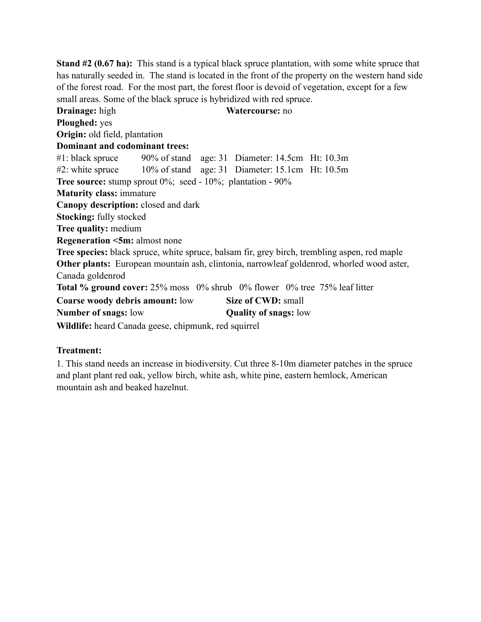**Stand #2 (0.67 ha):** This stand is a typical black spruce plantation, with some white spruce that has naturally seeded in. The stand is located in the front of the property on the western hand side of the forest road. For the most part, the forest floor is devoid of vegetation, except for a few small areas. Some of the black spruce is hybridized with red spruce.

**Drainage:** high **Watercourse:** no **Ploughed:** yes **Origin:** old field, plantation **Dominant and codominant trees:** #1: black spruce 90% of stand age: 31 Diameter: 14.5cm Ht: 10.3m #2: white spruce 10% of stand age: 31 Diameter: 15.1cm Ht: 10.5m **Tree source:** stump sprout 0%; seed - 10%; plantation - 90% **Maturity class:** immature **Canopy description:** closed and dark **Stocking:** fully stocked **Tree quality:** medium **Regeneration <5m:** almost none **Tree species:** black spruce, white spruce, balsam fir, grey birch, trembling aspen, red maple **Other plants:** European mountain ash, clintonia, narrowleaf goldenrod, whorled wood aster, Canada goldenrod **Total % ground cover:** 25% moss 0% shrub 0% flower 0% tree 75% leaf litter **Coarse woody debris amount:** low **Size of CWD:** small **Number of snags:** low **Quality of snags:** low **Wildlife:** heard Canada geese, chipmunk, red squirrel

# **Treatment:**

1. This stand needs an increase in biodiversity. Cut three 8-10m diameter patches in the spruce and plant plant red oak, yellow birch, white ash, white pine, eastern hemlock, American mountain ash and beaked hazelnut.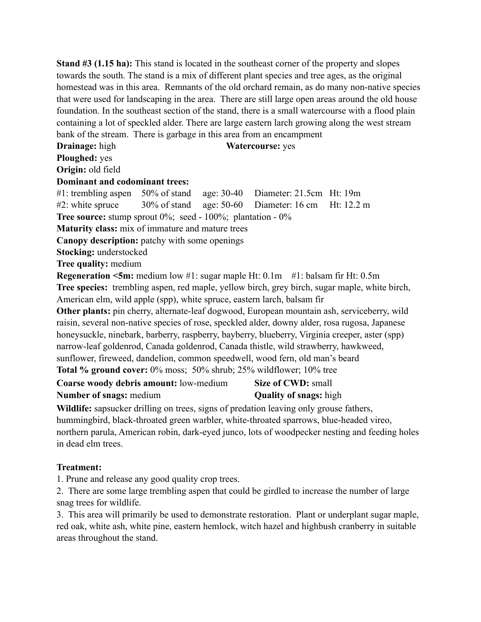**Stand #3 (1.15 ha):** This stand is located in the southeast corner of the property and slopes towards the south. The stand is a mix of different plant species and tree ages, as the original homestead was in this area. Remnants of the old orchard remain, as do many non-native species that were used for landscaping in the area. There are still large open areas around the old house foundation. In the southeast section of the stand, there is a small watercourse with a flood plain containing a lot of speckled alder. There are large eastern larch growing along the west stream bank of the stream. There is garbage in this area from an encampment

**Drainage:** high **Watercourse:** yes

**Ploughed:** yes

**Origin:** old field

#### **Dominant and codominant trees:**

#1: trembling aspen 50% of stand age: 30-40 Diameter: 21.5cm Ht: 19m

 $\#2$ : white spruce 30% of stand age: 50-60 Diameter: 16 cm Ht: 12.2 m

**Tree source:** stump sprout 0%; seed - 100%; plantation - 0%

**Maturity class:** mix of immature and mature trees

**Canopy description:** patchy with some openings

**Stocking:** understocked

**Tree quality:** medium

**Regeneration <5m:** medium low #1: sugar maple Ht: 0.1m #1: balsam fir Ht: 0.5m **Tree species:** trembling aspen, red maple, yellow birch, grey birch, sugar maple, white birch, American elm, wild apple (spp), white spruce, eastern larch, balsam fir

**Other plants:** pin cherry, alternate-leaf dogwood, European mountain ash, serviceberry, wild raisin, several non-native species of rose, speckled alder, downy alder, rosa rugosa, Japanese honeysuckle, ninebark, barberry, raspberry, bayberry, blueberry, Virginia creeper, aster (spp) narrow-leaf goldenrod, Canada goldenrod, Canada thistle, wild strawberry, hawkweed, sunflower, fireweed, dandelion, common speedwell, wood fern, old man's beard **Total % ground cover:** 0% moss; 50% shrub; 25% wildflower; 10% tree

**Coarse woody debris amount:** low-medium **Size of CWD:** small **Number of snags:** medium<br>**Quality of snags:** high

**Wildlife:** sapsucker drilling on trees, signs of predation leaving only grouse fathers, hummingbird, black-throated green warbler, white-throated sparrows, blue-headed vireo, northern parula, American robin, dark-eyed junco, lots of woodpecker nesting and feeding holes in dead elm trees.

# **Treatment:**

1. Prune and release any good quality crop trees.

2. There are some large trembling aspen that could be girdled to increase the number of large snag trees for wildlife.

3. This area will primarily be used to demonstrate restoration. Plant or underplant sugar maple, red oak, white ash, white pine, eastern hemlock, witch hazel and highbush cranberry in suitable areas throughout the stand.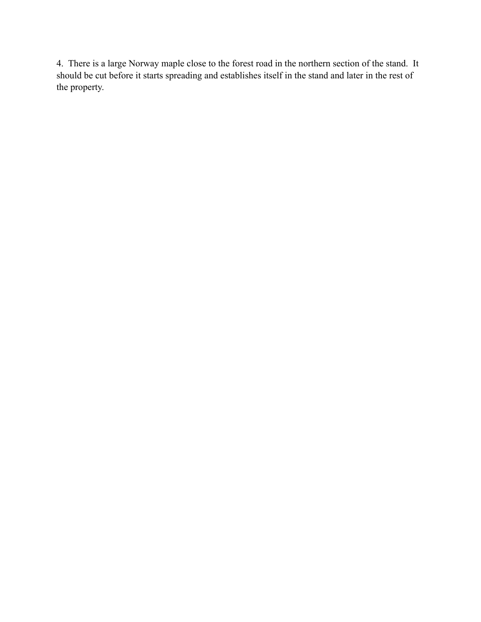4. There is a large Norway maple close to the forest road in the northern section of the stand. It should be cut before it starts spreading and establishes itself in the stand and later in the rest of the property.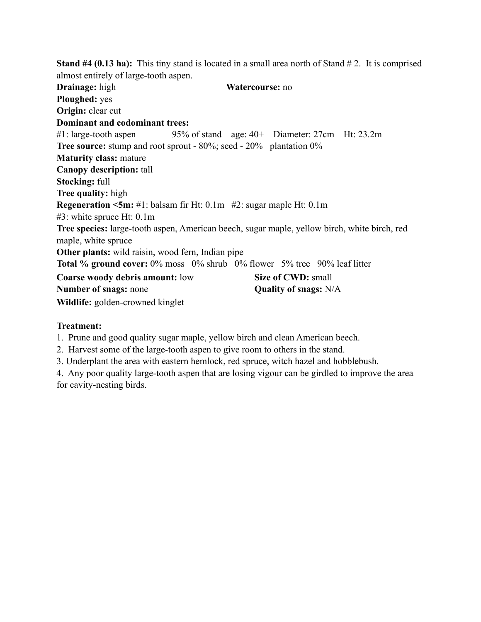**Stand #4 (0.13 ha):** This tiny stand is located in a small area north of Stand #2. It is comprised almost entirely of large-tooth aspen. **Drainage:** high **Watercourse:** no **Ploughed:** yes **Origin:** clear cut **Dominant and codominant trees:** #1: large-tooth aspen 95% of stand age: 40+ Diameter: 27cm Ht: 23.2m **Tree source:** stump and root sprout - 80%; seed - 20% plantation 0% **Maturity class:** mature **Canopy description:** tall **Stocking:** full **Tree quality:** high **Regeneration <5m:** #1: balsam fir Ht: 0.1m #2: sugar maple Ht: 0.1m #3: white spruce Ht: 0.1m **Tree species:** large-tooth aspen, American beech, sugar maple, yellow birch, white birch, red maple, white spruce **Other plants:** wild raisin, wood fern, Indian pipe **Total % ground cover:** 0% moss 0% shrub 0% flower 5% tree 90% leaf litter **Coarse woody debris amount:** low **Size of CWD:** small **Number of snags:** none **Quality of snags:** N/A **Wildlife:** golden-crowned kinglet

# **Treatment:**

1. Prune and good quality sugar maple, yellow birch and clean American beech.

2. Harvest some of the large-tooth aspen to give room to others in the stand.

3. Underplant the area with eastern hemlock, red spruce, witch hazel and hobblebush.

4. Any poor quality large-tooth aspen that are losing vigour can be girdled to improve the area for cavity-nesting birds.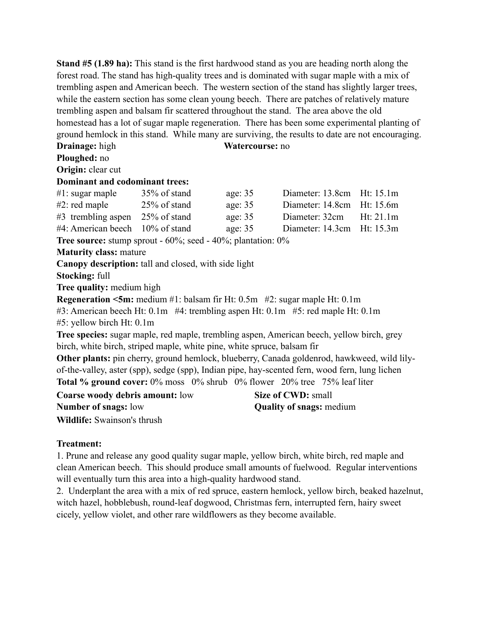**Stand #5 (1.89 ha):** This stand is the first hardwood stand as you are heading north along the forest road. The stand has high-quality trees and is dominated with sugar maple with a mix of trembling aspen and American beech. The western section of the stand has slightly larger trees, while the eastern section has some clean young beech. There are patches of relatively mature trembling aspen and balsam fir scattered throughout the stand. The area above the old homestead has a lot of sugar maple regeneration. There has been some experimental planting of ground hemlock in this stand. While many are surviving, the results to date are not encouraging. **Drainage:** high **Watercourse:** no

**Ploughed:** no

**Origin:** clear cut

# **Dominant and codominant trees:**

| $#1$ : sugar maple                 | 35% of stand    | age: $35$ | Diameter: 13.8cm Ht: 15.1m     |  |
|------------------------------------|-----------------|-----------|--------------------------------|--|
| $#2$ : red maple                   | $25\%$ of stand | age: $35$ | Diameter: 14.8cm Ht: 15.6m     |  |
| $#3$ trembling aspen 25% of stand  |                 | age: $35$ | Diameter: 32cm Ht: 21.1m       |  |
| $#4$ : American beech 10% of stand |                 | age: $35$ | Diameter: $14.3cm$ Ht: $15.3m$ |  |

**Tree source:** stump sprout - 60%; seed - 40%; plantation: 0%

#### **Maturity class:** mature

**Canopy description:** tall and closed, with side light

**Stocking:** full

**Tree quality:** medium high

**Regeneration <5m:** medium #1: balsam fir Ht: 0.5m #2: sugar maple Ht: 0.1m

#3: American beech Ht: 0.1m #4: trembling aspen Ht: 0.1m #5: red maple Ht: 0.1m

#5: yellow birch Ht: 0.1m

**Tree species:** sugar maple, red maple, trembling aspen, American beech, yellow birch, grey birch, white birch, striped maple, white pine, white spruce, balsam fir

**Other plants:** pin cherry, ground hemlock, blueberry, Canada goldenrod, hawkweed, wild lilyof-the-valley, aster (spp), sedge (spp), Indian pipe, hay-scented fern, wood fern, lung lichen **Total % ground cover:** 0% moss 0% shrub 0% flower 20% tree 75% leaf liter

**Coarse woody debris amount:** low **Size of CWD:** small **Number of snags:** low **Quality of snags:** medium

**Wildlife:** Swainson's thrush

# **Treatment:**

1. Prune and release any good quality sugar maple, yellow birch, white birch, red maple and clean American beech. This should produce small amounts of fuelwood. Regular interventions will eventually turn this area into a high-quality hardwood stand.

2. Underplant the area with a mix of red spruce, eastern hemlock, yellow birch, beaked hazelnut, witch hazel, hobblebush, round-leaf dogwood, Christmas fern, interrupted fern, hairy sweet cicely, yellow violet, and other rare wildflowers as they become available.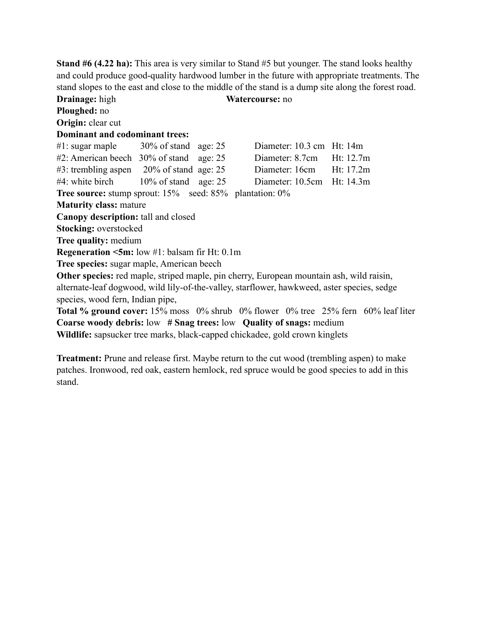**Stand #6 (4.22 ha):** This area is very similar to Stand #5 but younger. The stand looks healthy and could produce good-quality hardwood lumber in the future with appropriate treatments. The stand slopes to the east and close to the middle of the stand is a dump site along the forest road.

**Drainage:** high **Watercourse:** no **Ploughed:** no **Origin:** clear cut **Dominant and codominant trees:** #1: sugar maple 30% of stand age: 25 Diameter: 10.3 cm Ht: 14m #2: American beech 30% of stand age: 25 Diameter: 8.7cm Ht: 12.7m #3: trembling aspen 20% of stand age: 25 Diameter: 16cm Ht: 17.2m #4: white birch 10% of stand age: 25 Diameter: 10.5cm Ht: 14.3m **Tree source:** stump sprout: 15% seed: 85% plantation: 0% **Maturity class:** mature **Canopy description:** tall and closed **Stocking:** overstocked **Tree quality:** medium **Regeneration <5m:** low #1: balsam fir Ht: 0.1m **Tree species:** sugar maple, American beech **Other species:** red maple, striped maple, pin cherry, European mountain ash, wild raisin, alternate-leaf dogwood, wild lily-of-the-valley, starflower, hawkweed, aster species, sedge species, wood fern, Indian pipe, **Total % ground cover:** 15% moss 0% shrub 0% flower 0% tree 25% fern 60% leaf liter **Coarse woody debris:** low **# Snag trees:** low **Quality of snags:** medium

**Wildlife:** sapsucker tree marks, black-capped chickadee, gold crown kinglets

**Treatment:** Prune and release first. Maybe return to the cut wood (trembling aspen) to make patches. Ironwood, red oak, eastern hemlock, red spruce would be good species to add in this stand.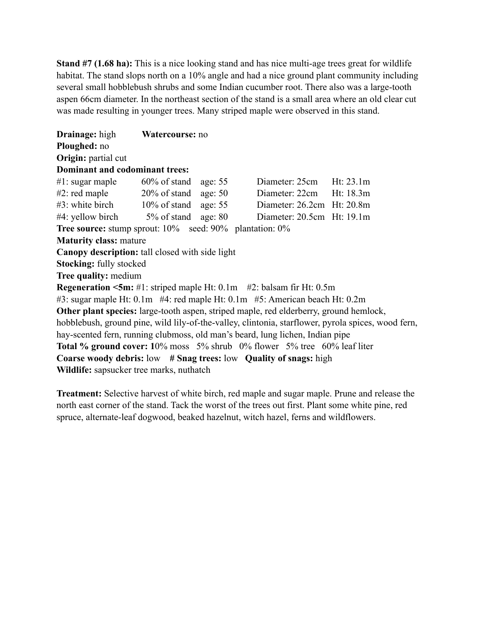**Stand #7 (1.68 ha):** This is a nice looking stand and has nice multi-age trees great for wildlife habitat. The stand slops north on a 10% angle and had a nice ground plant community including several small hobblebush shrubs and some Indian cucumber root. There also was a large-tooth aspen 66cm diameter. In the northeast section of the stand is a small area where an old clear cut was made resulting in younger trees. Many striped maple were observed in this stand.

**Drainage:** high **Watercourse:** no **Ploughed:** no **Origin:** partial cut **Dominant and codominant trees:** #1: sugar maple 60% of stand age: 55 Diameter: 25cm Ht: 23.1m #2: red maple 20% of stand age: 50 Diameter: 22cm Ht: 18.3m #3: white birch 10% of stand age: 55 Diameter: 26.2cm Ht: 20.8m #4: yellow birch 5% of stand age: 80 Diameter: 20.5cm Ht: 19.1m **Tree source:** stump sprout: 10% seed: 90% plantation: 0% **Maturity class:** mature **Canopy description:** tall closed with side light **Stocking:** fully stocked **Tree quality:** medium **Regeneration <5m:** #1: striped maple Ht: 0.1m #2: balsam fir Ht: 0.5m #3: sugar maple Ht: 0.1m #4: red maple Ht: 0.1m #5: American beach Ht: 0.2m **Other plant species:** large-tooth aspen, striped maple, red elderberry, ground hemlock, hobblebush, ground pine, wild lily-of-the-valley, clintonia, starflower, pyrola spices, wood fern, hay-scented fern, running clubmoss, old man's beard, lung lichen, Indian pipe **Total % ground cover: 1**0% moss 5% shrub 0% flower 5% tree 60% leaf liter **Coarse woody debris:** low **# Snag trees:** low **Quality of snags:** high **Wildlife:** sapsucker tree marks, nuthatch

**Treatment:** Selective harvest of white birch, red maple and sugar maple. Prune and release the north east corner of the stand. Tack the worst of the trees out first. Plant some white pine, red spruce, alternate-leaf dogwood, beaked hazelnut, witch hazel, ferns and wildflowers.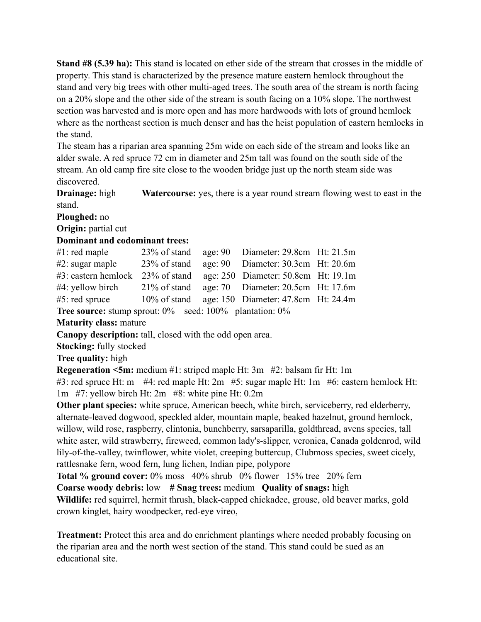**Stand #8 (5.39 ha):** This stand is located on ether side of the stream that crosses in the middle of property. This stand is characterized by the presence mature eastern hemlock throughout the stand and very big trees with other multi-aged trees. The south area of the stream is north facing on a 20% slope and the other side of the stream is south facing on a 10% slope. The northwest section was harvested and is more open and has more hardwoods with lots of ground hemlock where as the northeast section is much denser and has the heist population of eastern hemlocks in the stand.

The steam has a riparian area spanning 25m wide on each side of the stream and looks like an alder swale. A red spruce 72 cm in diameter and 25m tall was found on the south side of the stream. An old camp fire site close to the wooden bridge just up the north steam side was discovered.

**Drainage:** high **Watercourse:** yes, there is a year round stream flowing west to east in the stand.

**Ploughed:** no

**Origin:** partial cut

#### **Dominant and codominant trees:**

| $#1$ : red maple                                                     |  | 23% of stand age: 90 Diameter: 29.8cm Ht: 21.5m  |  |
|----------------------------------------------------------------------|--|--------------------------------------------------|--|
| $#2$ : sugar maple                                                   |  | 23% of stand age: 90 Diameter: 30.3cm Ht: 20.6m  |  |
| #3: eastern hemlock 23% of stand age: 250 Diameter: 50.8cm Ht: 19.1m |  |                                                  |  |
| #4: yellow birch                                                     |  | 21% of stand age: 70 Diameter: 20.5cm Ht: 17.6m  |  |
| $#5$ : red spruce                                                    |  | 10% of stand age: 150 Diameter: 47.8cm Ht: 24.4m |  |

**Tree source:** stump sprout:  $0\%$  seed:  $100\%$  plantation:  $0\%$ 

**Maturity class:** mature

**Canopy description:** tall, closed with the odd open area.

**Stocking:** fully stocked

#### **Tree quality:** high

**Regeneration <5m:** medium #1: striped maple Ht: 3m #2: balsam fir Ht: 1m

#3: red spruce Ht: m  $#4$ : red maple Ht: 2m  $#5$ : sugar maple Ht: 1m  $#6$ : eastern hemlock Ht: 1m #7: yellow birch Ht: 2m #8: white pine Ht: 0.2m

**Other plant species:** white spruce, American beech, white birch, serviceberry, red elderberry, alternate-leaved dogwood, speckled alder, mountain maple, beaked hazelnut, ground hemlock, willow, wild rose, raspberry, clintonia, bunchberry, sarsaparilla, goldthread, avens species, tall white aster, wild strawberry, fireweed, common lady's-slipper, veronica, Canada goldenrod, wild lily-of-the-valley, twinflower, white violet, creeping buttercup, Clubmoss species, sweet cicely, rattlesnake fern, wood fern, lung lichen, Indian pipe, polypore

**Total % ground cover:** 0% moss 40% shrub 0% flower 15% tree 20% fern

**Coarse woody debris:** low **# Snag trees:** medium **Quality of snags:** high

**Wildlife:** red squirrel, hermit thrush, black-capped chickadee, grouse, old beaver marks, gold crown kinglet, hairy woodpecker, red-eye vireo,

**Treatment:** Protect this area and do enrichment plantings where needed probably focusing on the riparian area and the north west section of the stand. This stand could be sued as an educational site.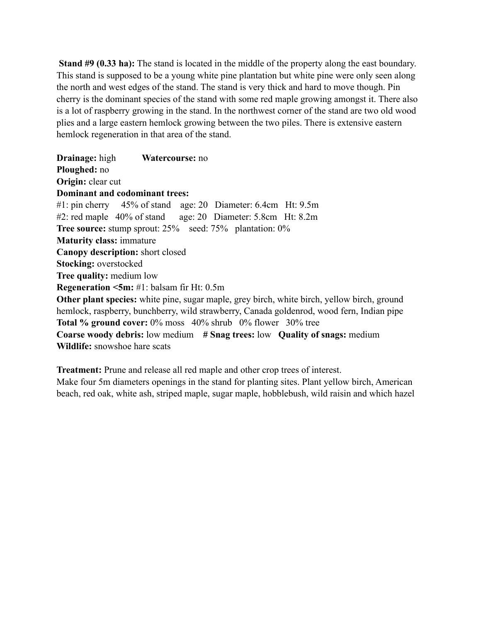**Stand #9 (0.33 ha):** The stand is located in the middle of the property along the east boundary. This stand is supposed to be a young white pine plantation but white pine were only seen along the north and west edges of the stand. The stand is very thick and hard to move though. Pin cherry is the dominant species of the stand with some red maple growing amongst it. There also is a lot of raspberry growing in the stand. In the northwest corner of the stand are two old wood plies and a large eastern hemlock growing between the two piles. There is extensive eastern hemlock regeneration in that area of the stand.

**Drainage:** high **Watercourse:** no **Ploughed:** no **Origin:** clear cut **Dominant and codominant trees:** #1: pin cherry 45% of stand age: 20 Diameter: 6.4cm Ht: 9.5m #2: red maple 40% of stand age: 20 Diameter: 5.8cm Ht: 8.2m **Tree source:** stump sprout: 25% seed: 75% plantation: 0% **Maturity class:** immature **Canopy description:** short closed **Stocking:** overstocked **Tree quality:** medium low **Regeneration <5m:** #1: balsam fir Ht: 0.5m **Other plant species:** white pine, sugar maple, grey birch, white birch, yellow birch, ground hemlock, raspberry, bunchberry, wild strawberry, Canada goldenrod, wood fern, Indian pipe **Total % ground cover:** 0% moss 40% shrub 0% flower 30% tree **Coarse woody debris:** low medium **# Snag trees:** low **Quality of snags:** medium **Wildlife:** snowshoe hare scats

**Treatment:** Prune and release all red maple and other crop trees of interest.

Make four 5m diameters openings in the stand for planting sites. Plant yellow birch, American beach, red oak, white ash, striped maple, sugar maple, hobblebush, wild raisin and which hazel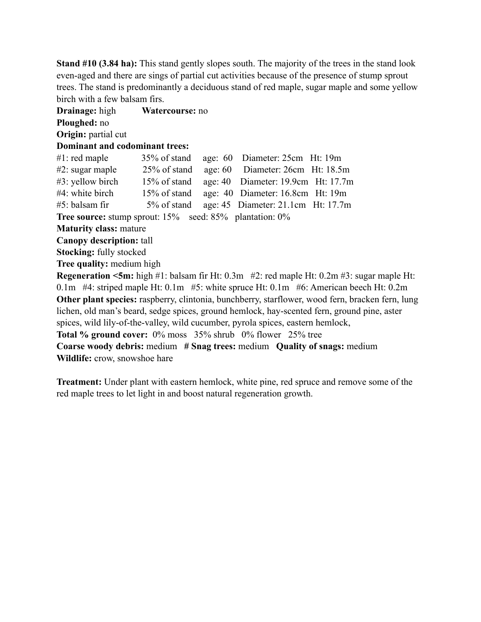**Stand #10 (3.84 ha):** This stand gently slopes south. The majority of the trees in the stand look even-aged and there are sings of partial cut activities because of the presence of stump sprout trees. The stand is predominantly a deciduous stand of red maple, sugar maple and some yellow birch with a few balsam firs.

**Drainage:** high **Watercourse:** no **Ploughed:** no **Origin:** partial cut **Dominant and codominant trees:** #1: red maple 35% of stand age: 60 Diameter: 25cm Ht: 19m #2: sugar maple 25% of stand age: 60 Diameter: 26cm Ht: 18.5m #3: yellow birch 15% of stand age: 40 Diameter: 19.9cm Ht: 17.7m #4: white birch 15% of stand age: 40 Diameter: 16.8cm Ht: 19m #5: balsam fir 5% of stand age: 45 Diameter: 21.1cm Ht: 17.7m **Tree source:** stump sprout: 15% seed: 85% plantation: 0% **Maturity class:** mature **Canopy description:** tall **Stocking:** fully stocked **Tree quality:** medium high **Regeneration <5m:** high #1: balsam fir Ht: 0.3m #2: red maple Ht: 0.2m #3: sugar maple Ht: 0.1m #4: striped maple Ht: 0.1m #5: white spruce Ht: 0.1m #6: American beech Ht: 0.2m **Other plant species:** raspberry, clintonia, bunchberry, starflower, wood fern, bracken fern, lung lichen, old man's beard, sedge spices, ground hemlock, hay-scented fern, ground pine, aster spices, wild lily-of-the-valley, wild cucumber, pyrola spices, eastern hemlock, **Total % ground cover:** 0% moss 35% shrub 0% flower 25% tree **Coarse woody debris:** medium **# Snag trees:** medium **Quality of snags:** medium **Wildlife:** crow, snowshoe hare

**Treatment:** Under plant with eastern hemlock, white pine, red spruce and remove some of the red maple trees to let light in and boost natural regeneration growth.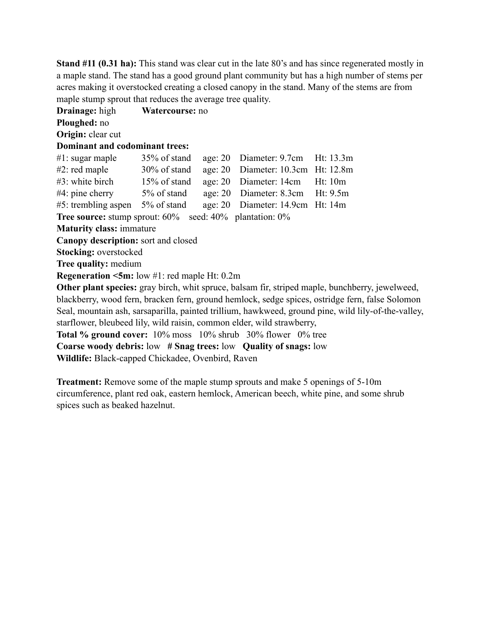**Stand #11 (0.31 ha):** This stand was clear cut in the late 80's and has since regenerated mostly in a maple stand. The stand has a good ground plant community but has a high number of stems per acres making it overstocked creating a closed canopy in the stand. Many of the stems are from maple stump sprout that reduces the average tree quality.

**Drainage:** high **Watercourse:** no **Ploughed:** no **Origin:** clear cut **Dominant and codominant trees:** #1: sugar maple 35% of stand age: 20 Diameter: 9.7cm Ht: 13.3m #2: red maple 30% of stand age: 20 Diameter: 10.3cm Ht: 12.8m #3: white birch 15% of stand age: 20 Diameter: 14cm Ht: 10m #4: pine cherry 5% of stand age: 20 Diameter: 8.3cm Ht: 9.5m #5: trembling aspen 5% of stand age: 20 Diameter: 14.9cm Ht: 14m **Tree source:** stump sprout:  $60\%$  seed:  $40\%$  plantation:  $0\%$ **Maturity class:** immature **Canopy description:** sort and closed **Stocking:** overstocked **Tree quality:** medium **Regeneration <5m:** low #1: red maple Ht: 0.2m **Other plant species:** gray birch, whit spruce, balsam fir, striped maple, bunchberry, jewelweed, blackberry, wood fern, bracken fern, ground hemlock, sedge spices, ostridge fern, false Solomon Seal, mountain ash, sarsaparilla, painted trillium, hawkweed, ground pine, wild lily-of-the-valley, starflower, bleubeed lily, wild raisin, common elder, wild strawberry, **Total % ground cover:** 10% moss 10% shrub 30% flower 0% tree **Coarse woody debris:** low **# Snag trees:** low **Quality of snags:** low **Wildlife:** Black-capped Chickadee, Ovenbird, Raven

**Treatment:** Remove some of the maple stump sprouts and make 5 openings of 5-10m circumference, plant red oak, eastern hemlock, American beech, white pine, and some shrub spices such as beaked hazelnut.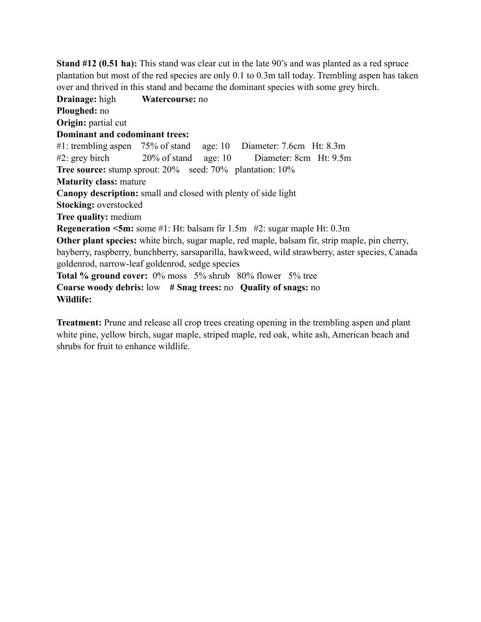**Stand #12 (0.51 ha):** This stand was clear cut in the late 90's and was planted as a red spruce plantation but most of the red species are only 0.1 to 0.3m tall today. Trembling aspen has taken over and thrived in this stand and became the dominant species with some grey birch.

**Drainage:** high **Watercourse:** no **Ploughed:** no **Origin:** partial cut **Dominant and codominant trees:** #1: trembling aspen 75% of stand age: 10 Diameter: 7.6cm Ht: 8.3m #2: grey birch 20% of stand age: 10 Diameter: 8cm Ht: 9.5m **Tree source:** stump sprout: 20% seed: 70% plantation: 10% **Maturity class:** mature **Canopy description:** small and closed with plenty of side light **Stocking:** overstocked **Tree quality:** medium **Regeneration <5m:** some #1: Ht: balsam fir 1.5m #2: sugar maple Ht: 0.3m **Other plant species:** white birch, sugar maple, red maple, balsam fir, strip maple, pin cherry, bayberry, raspberry, bunchberry, sarsaparilla, hawkweed, wild strawberry, aster species, Canada goldenrod, narrow-leaf goldenrod, sedge species **Total % ground cover:** 0% moss 5% shrub 80% flower 5% tree **Coarse woody debris:** low **# Snag trees:** no **Quality of snags:** no **Wildlife:** 

**Treatment:** Prune and release all crop trees creating opening in the trembling aspen and plant white pine, yellow birch, sugar maple, striped maple, red oak, white ash, American beach and shrubs for fruit to enhance wildlife.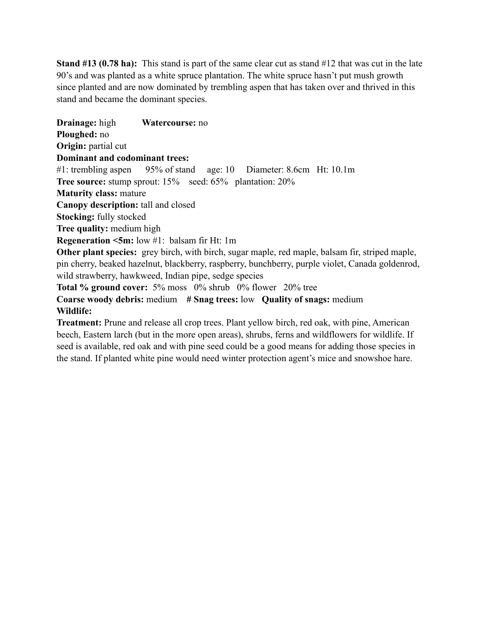**Stand #13 (0.78 ha):** This stand is part of the same clear cut as stand #12 that was cut in the late 90's and was planted as a white spruce plantation. The white spruce hasn't put mush growth since planted and are now dominated by trembling aspen that has taken over and thrived in this stand and became the dominant species.

**Drainage:** high **Watercourse:** no **Ploughed:** no **Origin:** partial cut **Dominant and codominant trees:** #1: trembling aspen 95% of stand age: 10 Diameter: 8.6cm Ht: 10.1m **Tree source:** stump sprout: 15% seed: 65% plantation: 20% **Maturity class:** mature **Canopy description:** tall and closed **Stocking:** fully stocked **Tree quality:** medium high **Regeneration <5m:** low #1: balsam fir Ht: 1m **Other plant species:** grey birch, with birch, sugar maple, red maple, balsam fir, striped maple, pin cherry, beaked hazelnut, blackberry, raspberry, bunchberry, purple violet, Canada goldenrod, wild strawberry, hawkweed, Indian pipe, sedge species **Total % ground cover:** 5% moss 0% shrub 0% flower 20% tree **Coarse woody debris:** medium **# Snag trees:** low **Quality of snags:** medium **Wildlife: Treatment:** Prune and release all crop trees. Plant yellow birch, red oak, with pine, American

beech, Eastern larch (but in the more open areas), shrubs, ferns and wildflowers for wildlife. If seed is available, red oak and with pine seed could be a good means for adding those species in the stand. If planted white pine would need winter protection agent's mice and snowshoe hare.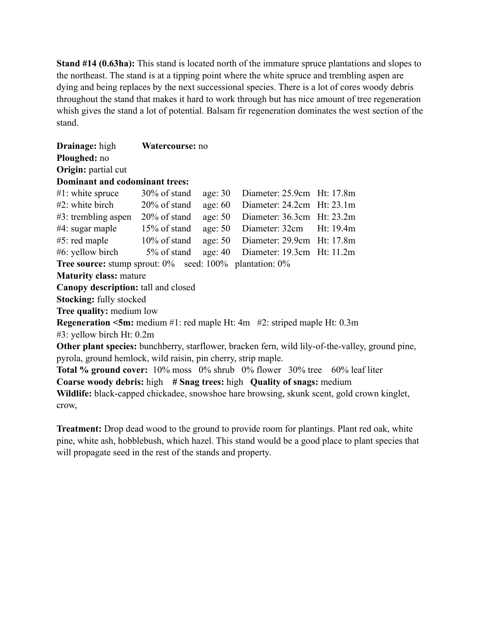**Stand #14 (0.63ha):** This stand is located north of the immature spruce plantations and slopes to the northeast. The stand is at a tipping point where the white spruce and trembling aspen are dying and being replaces by the next successional species. There is a lot of cores woody debris throughout the stand that makes it hard to work through but has nice amount of tree regeneration whish gives the stand a lot of potential. Balsam fir regeneration dominates the west section of the stand.

| <b>Drainage:</b> high                                                                            | Watercourse: no |           |                                    |  |
|--------------------------------------------------------------------------------------------------|-----------------|-----------|------------------------------------|--|
| Ploughed: no                                                                                     |                 |           |                                    |  |
| Origin: partial cut                                                                              |                 |           |                                    |  |
| <b>Dominant and codominant trees:</b>                                                            |                 |           |                                    |  |
| $\#1$ : white spruce $30\%$ of stand                                                             |                 | age: $30$ | Diameter: 25.9cm Ht: 17.8m         |  |
| #2: white birch                                                                                  | $20\%$ of stand | age: $60$ | Diameter: 24.2cm Ht: 23.1m         |  |
| $\#3$ : trembling aspen 20% of stand                                                             |                 | age: $50$ | Diameter: $36.3cm$ Ht: $23.2m$     |  |
| #4: sugar maple                                                                                  | $15\%$ of stand | age: $50$ | Diameter: 32cm Ht: 19.4m           |  |
| #5: red maple                                                                                    | $10\%$ of stand | age: $50$ | Diameter: 29.9cm Ht: 17.8m         |  |
| #6: yellow birch 5% of stand                                                                     |                 |           | age: 40 Diameter: 19.3cm Ht: 11.2m |  |
| <b>Tree source:</b> stump sprout: $0\%$ seed: $100\%$ plantation: $0\%$                          |                 |           |                                    |  |
| <b>Maturity class: mature</b>                                                                    |                 |           |                                    |  |
| Canopy description: tall and closed                                                              |                 |           |                                    |  |
| <b>Stocking: fully stocked</b>                                                                   |                 |           |                                    |  |
| Tree quality: medium low                                                                         |                 |           |                                    |  |
| <b>Regeneration <math>\leq 5m</math>:</b> medium #1: red maple Ht: 4m #2: striped maple Ht: 0.3m |                 |           |                                    |  |
| #3: yellow birch Ht: 0.2m                                                                        |                 |           |                                    |  |
| Other plant species: bunchberry, starflower, bracken fern, wild lily-of-the-valley, ground pine, |                 |           |                                    |  |
| pyrola, ground hemlock, wild raisin, pin cherry, strip maple.                                    |                 |           |                                    |  |
| <b>Total % ground cover:</b> $10\%$ moss $0\%$ shrub $0\%$ flower $30\%$ tree $60\%$ leaf liter  |                 |           |                                    |  |
| Coarse woody debris: high # Snag trees: high Quality of snags: medium                            |                 |           |                                    |  |
| Wildlife: black-capped chickadee, snowshoe hare browsing, skunk scent, gold crown kinglet,       |                 |           |                                    |  |
| crow,                                                                                            |                 |           |                                    |  |
|                                                                                                  |                 |           |                                    |  |

**Treatment:** Drop dead wood to the ground to provide room for plantings. Plant red oak, white pine, white ash, hobblebush, which hazel. This stand would be a good place to plant species that will propagate seed in the rest of the stands and property.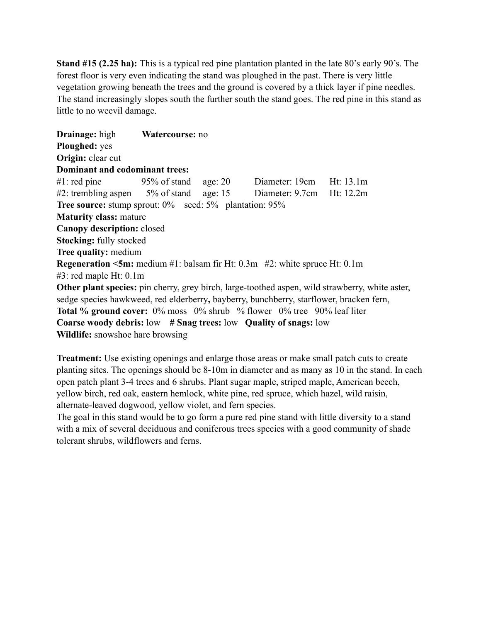**Stand #15 (2.25 ha):** This is a typical red pine plantation planted in the late 80's early 90's. The forest floor is very even indicating the stand was ploughed in the past. There is very little vegetation growing beneath the trees and the ground is covered by a thick layer if pine needles. The stand increasingly slopes south the further south the stand goes. The red pine in this stand as little to no weevil damage.

**Drainage:** high **Watercourse:** no **Ploughed:** yes **Origin:** clear cut **Dominant and codominant trees:** #1: red pine 95% of stand age: 20 Diameter: 19cm Ht: 13.1m #2: trembling aspen 5% of stand age: 15 Diameter: 9.7cm Ht: 12.2m **Tree source:** stump sprout:  $0\%$  seed:  $5\%$  plantation:  $95\%$ **Maturity class:** mature **Canopy description:** closed **Stocking:** fully stocked **Tree quality:** medium **Regeneration <5m:** medium #1: balsam fir Ht: 0.3m #2: white spruce Ht: 0.1m #3: red maple Ht: 0.1m **Other plant species:** pin cherry, grey birch, large-toothed aspen, wild strawberry, white aster, sedge species hawkweed, red elderberry**,** bayberry, bunchberry, starflower, bracken fern, **Total % ground cover:** 0% moss 0% shrub % flower 0% tree 90% leaf liter **Coarse woody debris:** low **# Snag trees:** low **Quality of snags:** low **Wildlife:** snowshoe hare browsing

**Treatment:** Use existing openings and enlarge those areas or make small patch cuts to create planting sites. The openings should be 8-10m in diameter and as many as 10 in the stand. In each open patch plant 3-4 trees and 6 shrubs. Plant sugar maple, striped maple, American beech, yellow birch, red oak, eastern hemlock, white pine, red spruce, which hazel, wild raisin, alternate-leaved dogwood, yellow violet, and fern species.

The goal in this stand would be to go form a pure red pine stand with little diversity to a stand with a mix of several deciduous and coniferous trees species with a good community of shade tolerant shrubs, wildflowers and ferns.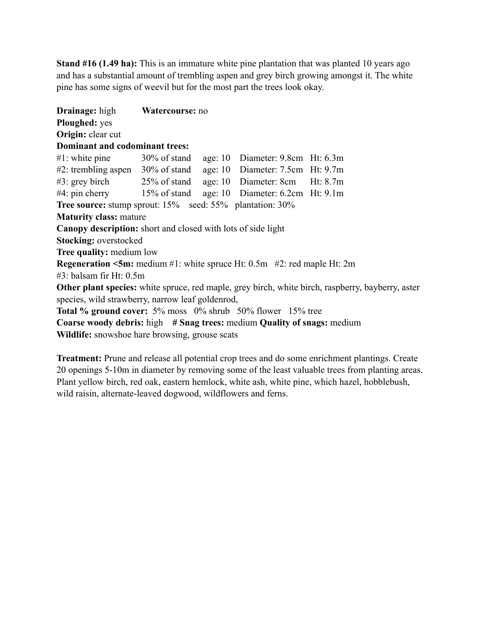**Stand #16 (1.49 ha):** This is an immature white pine plantation that was planted 10 years ago and has a substantial amount of trembling aspen and grey birch growing amongst it. The white pine has some signs of weevil but for the most part the trees look okay.

**Drainage:** high **Watercourse:** no **Ploughed:** yes **Origin:** clear cut **Dominant and codominant trees:** #1: white pine 30% of stand age: 10 Diameter: 9.8cm Ht: 6.3m #2: trembling aspen 30% of stand age: 10 Diameter: 7.5cm Ht: 9.7m #3: grey birch 25% of stand age: 10 Diameter: 8cm Ht: 8.7m #4: pin cherry 15% of stand age: 10 Diameter: 6.2cm Ht: 9.1m **Tree source:** stump sprout: 15% seed: 55% plantation: 30% **Maturity class:** mature **Canopy description:** short and closed with lots of side light **Stocking:** overstocked **Tree quality:** medium low **Regeneration <5m:** medium #1: white spruce Ht: 0.5m #2: red maple Ht: 2m #3: balsam fir Ht: 0.5m **Other plant species:** white spruce, red maple, grey birch, white birch, raspberry, bayberry, aster species, wild strawberry, narrow leaf goldenrod, **Total % ground cover:** 5% moss 0% shrub 50% flower 15% tree **Coarse woody debris:** high **# Snag trees:** medium **Quality of snags:** medium **Wildlife:** snowshoe hare browsing, grouse scats

**Treatment:** Prune and release all potential crop trees and do some enrichment plantings. Create 20 openings 5-10m in diameter by removing some of the least valuable trees from planting areas. Plant yellow birch, red oak, eastern hemlock, white ash, white pine, which hazel, hobblebush, wild raisin, alternate-leaved dogwood, wildflowers and ferns.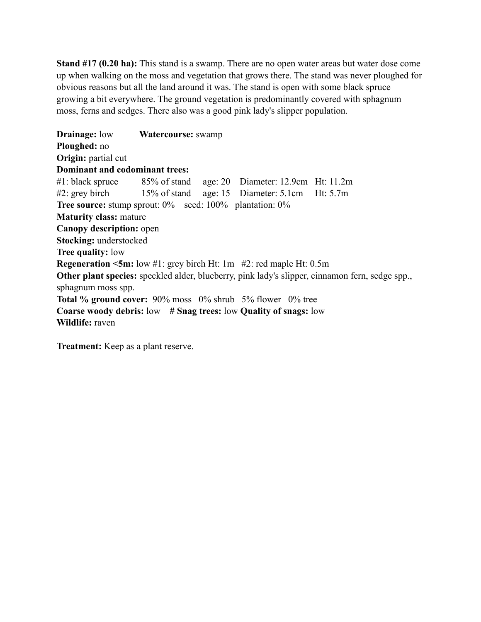**Stand #17 (0.20 ha):** This stand is a swamp. There are no open water areas but water dose come up when walking on the moss and vegetation that grows there. The stand was never ploughed for obvious reasons but all the land around it was. The stand is open with some black spruce growing a bit everywhere. The ground vegetation is predominantly covered with sphagnum moss, ferns and sedges. There also was a good pink lady's slipper population.

**Drainage:** low **Watercourse:** swamp **Ploughed:** no **Origin:** partial cut **Dominant and codominant trees:** #1: black spruce 85% of stand age: 20 Diameter: 12.9cm Ht: 11.2m #2: grey birch 15% of stand age: 15 Diameter: 5.1cm Ht: 5.7m **Tree source:** stump sprout:  $0\%$  seed:  $100\%$  plantation:  $0\%$ **Maturity class:** mature **Canopy description:** open **Stocking:** understocked **Tree quality:** low **Regeneration <5m:** low #1: grey birch Ht: 1m #2: red maple Ht: 0.5m **Other plant species:** speckled alder, blueberry, pink lady's slipper, cinnamon fern, sedge spp., sphagnum moss spp. **Total % ground cover:** 90% moss 0% shrub 5% flower 0% tree **Coarse woody debris:** low **# Snag trees:** low **Quality of snags:** low **Wildlife:** raven

**Treatment:** Keep as a plant reserve.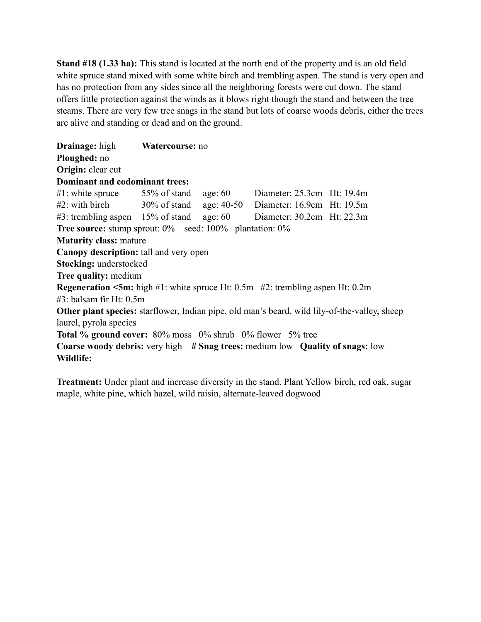**Stand #18 (1.33 ha):** This stand is located at the north end of the property and is an old field white spruce stand mixed with some white birch and trembling aspen. The stand is very open and has no protection from any sides since all the neighboring forests were cut down. The stand offers little protection against the winds as it blows right though the stand and between the tree steams. There are very few tree snags in the stand but lots of coarse woods debris, either the trees are alive and standing or dead and on the ground.

**Drainage:** high **Watercourse:** no **Ploughed:** no **Origin:** clear cut **Dominant and codominant trees:** #1: white spruce 55% of stand age: 60 Diameter: 25.3cm Ht: 19.4m #2: with birch 30% of stand age: 40-50 Diameter: 16.9cm Ht: 19.5m #3: trembling aspen 15% of stand age: 60 Diameter: 30.2cm Ht: 22.3m **Tree source:** stump sprout:  $0\%$  seed:  $100\%$  plantation:  $0\%$ **Maturity class:** mature **Canopy description:** tall and very open **Stocking:** understocked **Tree quality:** medium **Regeneration <5m:** high #1: white spruce Ht: 0.5m #2: trembling aspen Ht: 0.2m #3: balsam fir Ht: 0.5m **Other plant species:** starflower, Indian pipe, old man's beard, wild lily-of-the-valley, sheep laurel, pyrola species **Total % ground cover:** 80% moss 0% shrub 0% flower 5% tree **Coarse woody debris:** very high **# Snag trees:** medium low **Quality of snags:** low **Wildlife:**

**Treatment:** Under plant and increase diversity in the stand. Plant Yellow birch, red oak, sugar maple, white pine, which hazel, wild raisin, alternate-leaved dogwood